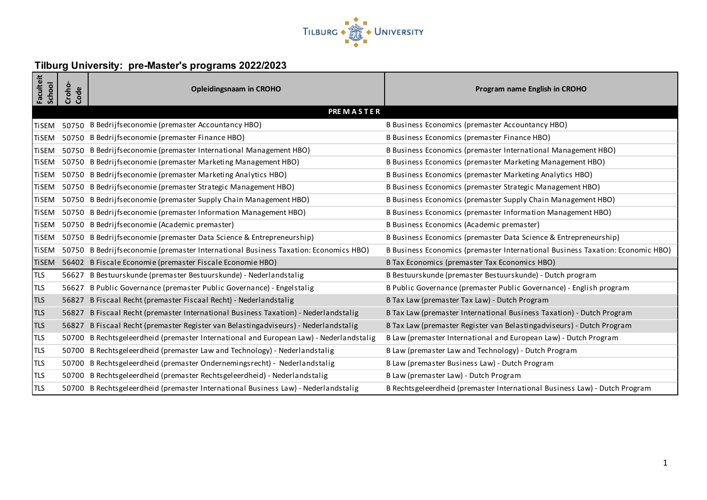

## **Tilburg University: pre-Master's programs 2022/2023**

| Faculteit<br><b>School</b> | Croho-<br>Code   | <b>Opleidingsnaam in CROHO</b>                                                         | Program name English in CROHO                                                  |  |  |
|----------------------------|------------------|----------------------------------------------------------------------------------------|--------------------------------------------------------------------------------|--|--|
|                            | <b>PREMASTER</b> |                                                                                        |                                                                                |  |  |
| <b>TiSEM</b>               |                  | 50750 B Bedrijfseconomie (premaster Accountancy HBO)                                   | B Business Economics (premaster Accountancy HBO)                               |  |  |
| <b>TiSEM</b>               |                  | 50750 B Bedrijfseconomie (premaster Finance HBO)                                       | B Business Economics (premaster Finance HBO)                                   |  |  |
| <b>TiSEM</b>               |                  | 50750 B Bedrijfseconomie (premaster International Management HBO)                      | B Business Economics (premaster International Management HBO)                  |  |  |
| <b>TiSEM</b>               |                  | 50750 B Bedrijfseconomie (premaster Marketing Management HBO)                          | B Business Economics (premaster Marketing Management HBO)                      |  |  |
| <b>TiSEM</b>               |                  | 50750 B Bedrijfseconomie (premaster Marketing Analytics HBO)                           | B Business Economics (premaster Marketing Analytics HBO)                       |  |  |
| <b>TiSEM</b>               |                  | 50750 B Bedrijfseconomie (premaster Strategic Management HBO)                          | B Business Economics (premaster Strategic Management HBO)                      |  |  |
| <b>TiSEM</b>               |                  | 50750 B Bedrijfseconomie (premaster Supply Chain Management HBO)                       | B Business Economics (premaster Supply Chain Management HBO)                   |  |  |
| <b>TiSEM</b>               |                  | 50750 B Bedrijfseconomie (premaster Information Management HBO)                        | B Business Economics (premaster Information Management HBO)                    |  |  |
| <b>TiSEM</b>               |                  | 50750 B Bedrijfseconomie (Academic premaster)                                          | B Business Economics (Academic premaster)                                      |  |  |
| <b>TiSEM</b>               |                  | 50750 B Bedrijfseconomie (premaster Data Science & Entrepreneurship)                   | B Business Economics (premaster Data Science & Entrepreneurship)               |  |  |
| <b>TiSEM</b>               |                  | 50750 B Bedrijfseconomie (premaster International Business Taxation: Economics HBO)    | B Business Economics (premaster International Business Taxation: Economic HBO) |  |  |
| <b>TiSEM</b>               |                  | 56402 B Fiscale Economie (premaster Fiscale Economie HBO)                              | B Tax Economics (premaster Tax Economics HBO)                                  |  |  |
| <b>TLS</b>                 |                  | 56627 B Bestuurskunde (premaster Bestuurskunde) - Nederlandstalig                      | B Bestuurskunde (premaster Bestuurskunde) - Dutch program                      |  |  |
| <b>TLS</b>                 |                  | 56627 B Public Governance (premaster Public Governance) - Engelstalig                  | B Public Governance (premaster Public Governance) - English program            |  |  |
| <b>TLS</b>                 |                  | 56827 B Fiscaal Recht (premaster Fiscaal Recht) - Nederlandstalig                      | B Tax Law (premaster Tax Law) - Dutch Program                                  |  |  |
| <b>TLS</b>                 |                  | 56827 B Fiscaal Recht (premaster International Business Taxation) - Nederlandstalig    | B Tax Law (premaster International Business Taxation) - Dutch Program          |  |  |
| <b>TLS</b>                 | 56827            | B Fiscaal Recht (premaster Register van Belastingadviseurs) - Nederlandstalig          | B Tax Law (premaster Register van Belastingadviseurs) - Dutch Program          |  |  |
| <b>TLS</b>                 |                  | 50700 B Rechtsgeleerdheid (premaster International and European Law) - Nederlandstalig | B Law (premaster International and European Law) - Dutch Program               |  |  |
| <b>TLS</b>                 |                  | 50700 B Rechtsgeleerdheid (premaster Law and Technology) - Nederlandstalig             | B Law (premaster Law and Technology) - Dutch Program                           |  |  |
| <b>TLS</b>                 |                  | 50700 B Rechtsgeleerdheid (premaster Ondernemingsrecht) - Nederlandstalig              | B Law (premaster Business Law) - Dutch Program                                 |  |  |
| <b>TLS</b>                 |                  | 50700 B Rechtsgeleerdheid (premaster Rechtsgeleerdheid) - Nederlandstalig              | B Law (premaster Law) - Dutch Program                                          |  |  |
| <b>TLS</b>                 |                  | 50700 B Rechtsgeleerdheid (premaster International Business Law) - Nederlandstalig     | B Rechtsgeleerdheid (premaster International Business Law) - Dutch Program     |  |  |